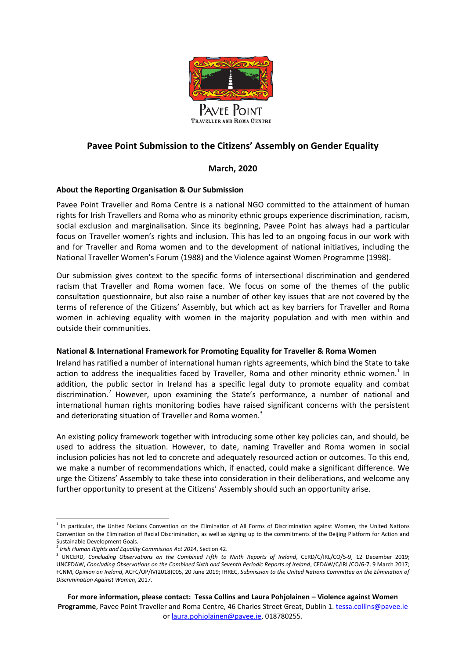

# **Pavee Point Submission to the Citizens' Assembly on Gender Equality**

## **March, 2020**

## **About the Reporting Organisation & Our Submission**

Pavee Point Traveller and Roma Centre is a national NGO committed to the attainment of human rights for Irish Travellers and Roma who as minority ethnic groups experience discrimination, racism, social exclusion and marginalisation. Since its beginning, Pavee Point has always had a particular focus on Traveller women's rights and inclusion. This has led to an ongoing focus in our work with and for Traveller and Roma women and to the development of national initiatives, including the National Traveller Women's Forum (1988) and the Violence against Women Programme (1998).

Our submission gives context to the specific forms of intersectional discrimination and gendered racism that Traveller and Roma women face. We focus on some of the themes of the public consultation questionnaire, but also raise a number of other key issues that are not covered by the terms of reference of the Citizens' Assembly, but which act as key barriers for Traveller and Roma women in achieving equality with women in the majority population and with men within and outside their communities.

## **National & International Framework for Promoting Equality for Traveller & Roma Women**

Ireland has ratified a number of international human rights agreements, which bind the State to take action to address the inequalities faced by Traveller, Roma and other minority ethnic women.<sup>1</sup> In addition, the public sector in Ireland has a specific legal duty to promote equality and combat discrimination.<sup>2</sup> However, upon examining the State's performance, a number of national and international human rights monitoring bodies have raised significant concerns with the persistent and deteriorating situation of Traveller and Roma women.<sup>3</sup>

An existing policy framework together with introducing some other key policies can, and should, be used to address the situation. However, to date, naming Traveller and Roma women in social inclusion policies has not led to concrete and adequately resourced action or outcomes. To this end, we make a number of recommendations which, if enacted, could make a significant difference. We urge the Citizens' Assembly to take these into consideration in their deliberations, and welcome any further opportunity to present at the Citizens' Assembly should such an opportunity arise.

**For more information, please contact: Tessa Collins and Laura Pohjolainen – Violence against Women**  Programme, Pavee Point Traveller and Roma Centre, 46 Charles Street Great, Dublin 1. [tessa.collins@pavee.ie](mailto:tessa.collins@pavee.ie) o[r laura.pohjolainen@pavee.ie,](mailto:laura.pohjolainen@pavee.ie) 018780255.

 1 In particular, the United Nations Convention on the Elimination of All Forms of Discrimination against Women, the United Nations Convention on the Elimination of Racial Discrimination, as well as signing up to the commitments of the Beijing Platform for Action and Sustainable Development Goals.

<sup>2</sup> *Irish Human Rights and Equality Commission Act 2014*, Section 42.

<sup>3</sup> UNCERD, *Concluding Observations on the Combined Fifth to Ninth Reports of Ireland*, CERD/C/IRL/CO/5-9, 12 December 2019; UNCEDAW, *Concluding Observations on the Combined Sixth and Seventh Periodic Reports of Ireland*, CEDAW/C/IRL/CO/6-7, 9 March 2017; FCNM, *Opinion on Ireland*, ACFC/OP/IV(2018)005, 20 June 2019; IHREC, *Submission to the United Nations Committee on the Elimination of Discrimination Against Women*, 2017.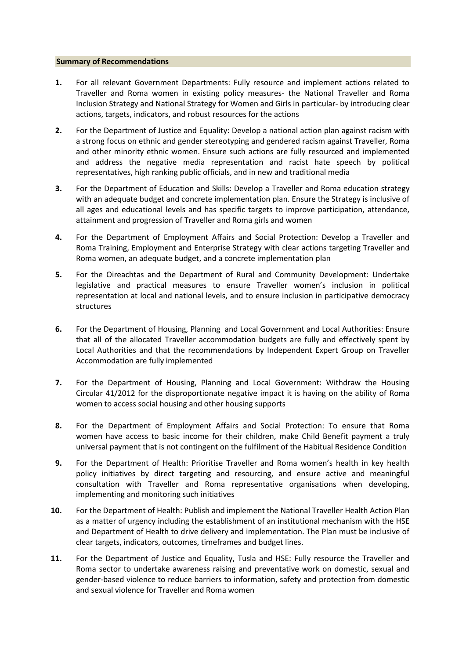#### **Summary of Recommendations**

- **1.** For all relevant Government Departments: Fully resource and implement actions related to Traveller and Roma women in existing policy measures- the National Traveller and Roma Inclusion Strategy and National Strategy for Women and Girls in particular- by introducing clear actions, targets, indicators, and robust resources for the actions
- **2.** For the Department of Justice and Equality: Develop a national action plan against racism with a strong focus on ethnic and gender stereotyping and gendered racism against Traveller, Roma and other minority ethnic women. Ensure such actions are fully resourced and implemented and address the negative media representation and racist hate speech by political representatives, high ranking public officials, and in new and traditional media
- **3.** For the Department of Education and Skills: Develop a Traveller and Roma education strategy with an adequate budget and concrete implementation plan. Ensure the Strategy is inclusive of all ages and educational levels and has specific targets to improve participation, attendance, attainment and progression of Traveller and Roma girls and women
- **4.** For the Department of Employment Affairs and Social Protection: Develop a Traveller and Roma Training, Employment and Enterprise Strategy with clear actions targeting Traveller and Roma women, an adequate budget, and a concrete implementation plan
- **5.** For the Oireachtas and the Department of Rural and Community Development: Undertake legislative and practical measures to ensure Traveller women's inclusion in political representation at local and national levels, and to ensure inclusion in participative democracy structures
- **6.** For the Department of Housing, Planning and Local Government and Local Authorities: Ensure that all of the allocated Traveller accommodation budgets are fully and effectively spent by Local Authorities and that the recommendations by Independent Expert Group on Traveller Accommodation are fully implemented
- **7.** For the Department of Housing, Planning and Local Government: Withdraw the Housing Circular 41/2012 for the disproportionate negative impact it is having on the ability of Roma women to access social housing and other housing supports
- **8.** For the Department of Employment Affairs and Social Protection: To ensure that Roma women have access to basic income for their children, make Child Benefit payment a truly universal payment that is not contingent on the fulfilment of the Habitual Residence Condition
- **9.** For the Department of Health: Prioritise Traveller and Roma women's health in key health policy initiatives by direct targeting and resourcing, and ensure active and meaningful consultation with Traveller and Roma representative organisations when developing, implementing and monitoring such initiatives
- **10.** For the Department of Health: Publish and implement the National Traveller Health Action Plan as a matter of urgency including the establishment of an institutional mechanism with the HSE and Department of Health to drive delivery and implementation. The Plan must be inclusive of clear targets, indicators, outcomes, timeframes and budget lines.
- **11.** For the Department of Justice and Equality, Tusla and HSE: Fully resource the Traveller and Roma sector to undertake awareness raising and preventative work on domestic, sexual and gender-based violence to reduce barriers to information, safety and protection from domestic and sexual violence for Traveller and Roma women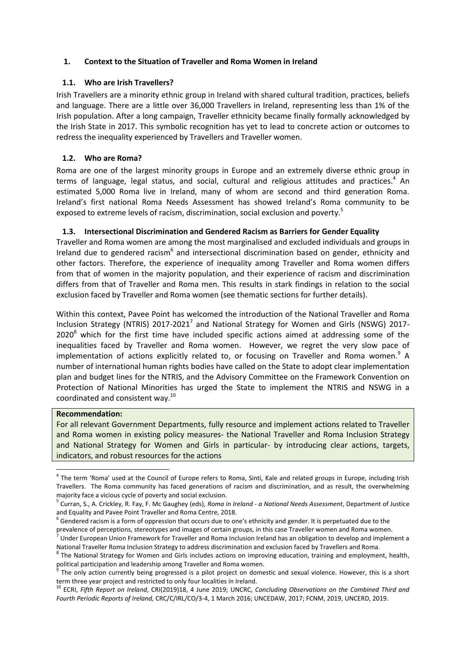## **1. Context to the Situation of Traveller and Roma Women in Ireland**

## **1.1. Who are Irish Travellers?**

Irish Travellers are a minority ethnic group in Ireland with shared cultural tradition, practices, beliefs and language. There are a little over 36,000 Travellers in Ireland, representing less than 1% of the Irish population. After a long campaign, Traveller ethnicity became finally formally acknowledged by the Irish State in 2017. This symbolic recognition has yet to lead to concrete action or outcomes to redress the inequality experienced by Travellers and Traveller women.

## **1.2. Who are Roma?**

Roma are one of the largest minority groups in Europe and an extremely diverse ethnic group in terms of language, legal status, and social, cultural and religious attitudes and practices.<sup>4</sup> An estimated 5,000 Roma live in Ireland, many of whom are second and third generation Roma. Ireland's first national Roma Needs Assessment has showed Ireland's Roma community to be exposed to extreme levels of racism, discrimination, social exclusion and poverty.<sup>5</sup>

## **1.3. Intersectional Discrimination and Gendered Racism as Barriers for Gender Equality**

Traveller and Roma women are among the most marginalised and excluded individuals and groups in Ireland due to gendered racism<sup>6</sup> and intersectional discrimination based on gender, ethnicity and other factors. Therefore, the experience of inequality among Traveller and Roma women differs from that of women in the majority population, and their experience of racism and discrimination differs from that of Traveller and Roma men. This results in stark findings in relation to the social exclusion faced by Traveller and Roma women (see thematic sections for further details).

Within this context, Pavee Point has welcomed the introduction of the National Traveller and Roma Inclusion Strategy (NTRIS) 2017-2021<sup>7</sup> and National Strategy for Women and Girls (NSWG) 2017- $2020<sup>8</sup>$  which for the first time have included specific actions aimed at addressing some of the inequalities faced by Traveller and Roma women. However, we regret the very slow pace of implementation of actions explicitly related to, or focusing on Traveller and Roma women.<sup>9</sup> A number of international human rights bodies have called on the State to adopt clear implementation plan and budget lines for the NTRIS, and the Advisory Committee on the Framework Convention on Protection of National Minorities has urged the State to implement the NTRIS and NSWG in a coordinated and consistent way.<sup>10</sup>

## **Recommendation:**

**.** 

For all relevant Government Departments, fully resource and implement actions related to Traveller and Roma women in existing policy measures- the National Traveller and Roma Inclusion Strategy and National Strategy for Women and Girls in particular- by introducing clear actions, targets, indicators, and robust resources for the actions

<sup>&</sup>lt;sup>4</sup> The term 'Roma' used at the Council of Europe refers to Roma, Sinti, Kale and related groups in Europe, including Irish Travellers. The Roma community has faced generations of racism and discrimination, and as result, the overwhelming majority face a vicious cycle of poverty and social exclusion.

<sup>5</sup> Curran, S., A. Crickley, R. Fay, F. Mc Gaughey (eds), *Roma in Ireland - a National Needs Assessment*, Department of Justice and Equality and Pavee Point Traveller and Roma Centre, 2018.

 $^6$  Gendered racism is a form of oppression that occurs due to one's ethnicity and gender. It is perpetuated due to the

prevalence of perceptions, stereotypes and images of certain groups, in this case Traveller women and Roma women.<br><sup>7</sup> Under European Union Framework for Traveller and Roma Inclusion Ireland has an obligation to develop and National Traveller Roma Inclusion Strategy to address discrimination and exclusion faced by Travellers and Roma.

<sup>&</sup>lt;sup>8</sup> The National Strategy for Women and Girls includes actions on improving education, training and employment, health, political participation and leadership among Traveller and Roma women.

<sup>9</sup> The only action currently being progressed is a pilot project on domestic and sexual violence. However, this is a short term three year project and restricted to only four localities in Ireland.

<sup>10</sup> ECRI, *Fifth Report on Ireland*, CRI(2019)18, 4 June 2019; UNCRC, *Concluding Observations on the Combined Third and Fourth Periodic Reports of Ireland,* CRC/C/IRL/CO/3-4, 1 March 2016; UNCEDAW, 2017; FCNM, 2019, UNCERD, 2019.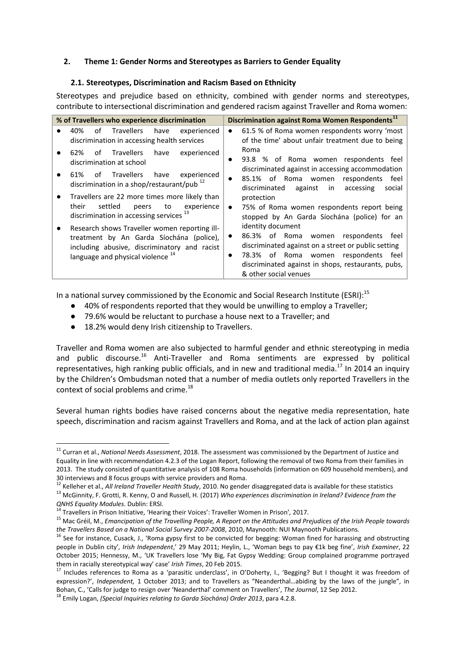### **2. Theme 1: Gender Norms and Stereotypes as Barriers to Gender Equality**

### **2.1. Stereotypes, Discrimination and Racism Based on Ethnicity**

Stereotypes and prejudice based on ethnicity, combined with gender norms and stereotypes, contribute to intersectional discrimination and gendered racism against Traveller and Roma women:

| % of Travellers who experience discrimination |                                                                                                                                                                                           | Discrimination against Roma Women Respondents <sup>11</sup>                                                                                                                                                                                             |  |
|-----------------------------------------------|-------------------------------------------------------------------------------------------------------------------------------------------------------------------------------------------|---------------------------------------------------------------------------------------------------------------------------------------------------------------------------------------------------------------------------------------------------------|--|
|                                               | Travellers<br>of<br>have<br>experienced<br>40%<br>discrimination in accessing health services                                                                                             | 61.5 % of Roma women respondents worry 'most<br>$\bullet$<br>of the time' about unfair treatment due to being                                                                                                                                           |  |
|                                               | <b>Travellers</b><br>have<br>experienced<br>of<br>62%<br>discrimination at school                                                                                                         | Roma<br>93.8 % of Roma women respondents feel<br>$\bullet$<br>discriminated against in accessing accommodation                                                                                                                                          |  |
|                                               | Travellers<br>have<br>experienced<br>of<br>61%<br>discrimination in a shop/restaurant/pub <sup>12</sup>                                                                                   | 85.1% of Roma women respondents<br>feel<br>$\bullet$<br>discriminated<br>against<br>in<br>accessing<br>social                                                                                                                                           |  |
|                                               | Travellers are 22 more times more likely than<br>settled<br>experience<br>their<br>to<br>peers<br>discrimination in accessing services <sup>13</sup>                                      | protection<br>75% of Roma women respondents report being<br>$\bullet$<br>stopped by An Garda Síochána (police) for an                                                                                                                                   |  |
|                                               | Research shows Traveller women reporting ill-<br>treatment by An Garda Síochána (police),<br>including abusive, discriminatory and racist<br>language and physical violence <sup>14</sup> | identity document<br>86.3% of Roma women respondents<br>feel<br>$\bullet$<br>discriminated against on a street or public setting<br>78.3% of Roma women respondents feel<br>discriminated against in shops, restaurants, pubs,<br>& other social venues |  |

In a national survey commissioned by the Economic and Social Research Institute (ESRI):<sup>15</sup>

- 40% of respondents reported that they would be unwilling to employ a Traveller;
- 79.6% would be reluctant to purchase a house next to a Traveller; and
- 18.2% would deny Irish citizenship to Travellers.

Traveller and Roma women are also subjected to harmful gender and ethnic stereotyping in media and public discourse.<sup>16</sup> Anti-Traveller and Roma sentiments are expressed by political representatives, high ranking public officials, and in new and traditional media.<sup>17</sup> In 2014 an inquiry by the Children's Ombudsman noted that a number of media outlets only reported Travellers in the context of social problems and crime.<sup>18</sup>

Several human rights bodies have raised concerns about the negative media representation, hate speech, discrimination and racism against Travellers and Roma, and at the lack of action plan against

<sup>12</sup> Kelleher et al., *All Ireland Traveller Health Study*, 2010. No gender disaggregated data is available for these statistics

**<sup>.</sup>** <sup>11</sup> Curran et al., *National Needs Assessment*, 2018. The assessment was commissioned by the Department of Justice and Equality in line with recommendation 4.2.3 of the Logan Report, following the removal of two Roma from their families in 2013. The study consisted of quantitative analysis of 108 Roma households (information on 609 household members), and 30 interviews and 8 focus groups with service providers and Roma.

<sup>13</sup> McGinnity, F. Grotti, R. Kenny, O and Russell, H. (2017) *Who experiences discrimination in Ireland? Evidence from the QNHS Equality Modules*. Dublin: ERSI.

<sup>14</sup> Travellers in Prison Initiative, 'Hearing their Voices': Traveller Women in Prison'*,* 2017.

<sup>15</sup> Mac Gréil, M., *Emancipation of the Travelling People, A Report on the Attitudes and Prejudices of the Irish People towards the Travellers Based on a National Social Survey 2007-2008*, 2010, Maynooth: NUI Maynooth Publications*.* 

<sup>16</sup> See for instance, Cusack, J., 'Roma gypsy first to be convicted for begging: Woman fined for harassing and obstructing people in Dublin city'*, Irish Independent*,' 29 May 2011; Heylin, L., 'Woman begs to pay €1k beg fine', *Irish Examiner*, 22 October 2015; Hennessy, M., 'UK Travellers lose 'My Big, Fat Gypsy Wedding: Group complained programme portrayed them in racially stereotypical way' case' *Irish Times*, 20 Feb 2015.

<sup>&</sup>lt;sup>17</sup> Includes references to Roma as a 'parasitic underclass', in O'Doherty, I., 'Begging? But I thought it was freedom of expression?', *Independent,* 1 October 2013; and to Travellers as "Neanderthal…abiding by the laws of the jungle", in Bohan, C., 'Calls for judge to resign over 'Neanderthal' comment on Travellers', *The Journal*, 12 Sep 2012.

<sup>18</sup> Emily Logan, *(Special Inquiries relating to Garda Síochána) Order 2013*, para 4.2.8.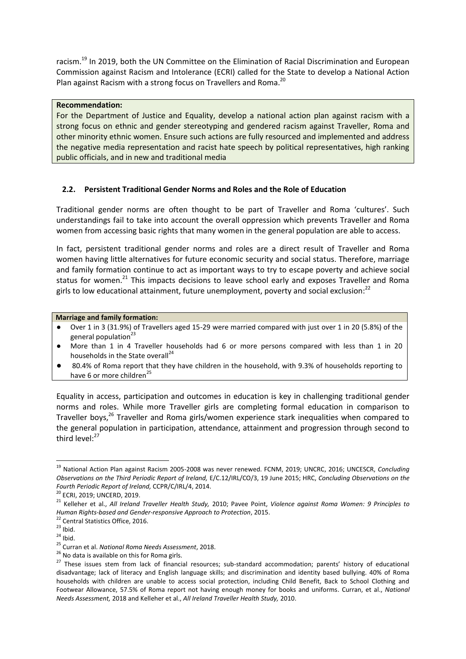racism.<sup>19</sup> In 2019, both the UN Committee on the Elimination of Racial Discrimination and European Commission against Racism and Intolerance (ECRI) called for the State to develop a National Action Plan against Racism with a strong focus on Travellers and Roma.<sup>20</sup>

### **Recommendation:**

For the Department of Justice and Equality, develop a national action plan against racism with a strong focus on ethnic and gender stereotyping and gendered racism against Traveller, Roma and other minority ethnic women. Ensure such actions are fully resourced and implemented and address the negative media representation and racist hate speech by political representatives, high ranking public officials, and in new and traditional media

## **2.2. Persistent Traditional Gender Norms and Roles and the Role of Education**

Traditional gender norms are often thought to be part of Traveller and Roma 'cultures'. Such understandings fail to take into account the overall oppression which prevents Traveller and Roma women from accessing basic rights that many women in the general population are able to access.

In fact, persistent traditional gender norms and roles are a direct result of Traveller and Roma women having little alternatives for future economic security and social status. Therefore, marriage and family formation continue to act as important ways to try to escape poverty and achieve social status for women.<sup>21</sup> This impacts decisions to leave school early and exposes Traveller and Roma girls to low educational attainment, future unemployment, poverty and social exclusion: $^{22}$ 

#### **Marriage and family formation:**

- Over 1 in 3 (31.9%) of Travellers aged 15-29 were married compared with just over 1 in 20 (5.8%) of the general population $^{23}$
- More than 1 in 4 Traveller households had 6 or more persons compared with less than 1 in 20 households in the State overall<sup>24</sup>
- 80.4% of Roma report that they have children in the household, with 9.3% of households reporting to have 6 or more children<sup>25</sup>

Equality in access, participation and outcomes in education is key in challenging traditional gender norms and roles. While more Traveller girls are completing formal education in comparison to Traveller boys,<sup>26</sup> Traveller and Roma girls/women experience stark inequalities when compared to the general population in participation, attendance, attainment and progression through second to third level: $27$ 

1

<sup>19</sup> National Action Plan against Racism 2005-2008 was never renewed. FCNM, 2019; UNCRC, 2016; UNCESCR, *Concluding Observations on the Third Periodic Report of Ireland,* E/C.12/IRL/CO/3, 19 June 2015; HRC, *Concluding Observations on the Fourth Periodic Report of Ireland,* CCPR/C/IRL/4, 2014.

<sup>20</sup> ECRI, 2019; UNCERD, 2019.

<sup>21</sup> Kelleher et al., *All Ireland Traveller Health Study,* 2010; Pavee Point, *Violence against Roma Women: 9 Principles to Human Rights-based and Gender-responsive Approach to Protection*, 2015.

<sup>&</sup>lt;sup>22</sup> Central Statistics Office, 2016.

 $23$  Ibid.

 $24$  Ibid.

<sup>25</sup> Curran et al. *National Roma Needs Assessment*, 2018.

 $26$  No data is available on this for Roma girls.

<sup>&</sup>lt;sup>27</sup> These issues stem from lack of financial resources; sub-standard accommodation; parents' history of educational disadvantage; lack of literacy and English language skills; and discrimination and identity based bullying. 40% of Roma households with children are unable to access social protection, including Child Benefit, Back to School Clothing and Footwear Allowance, 57.5% of Roma report not having enough money for books and uniforms. Curran, et al., *National Needs Assessment,* 2018 and Kelleher et al., *All Ireland Traveller Health Study,* 2010.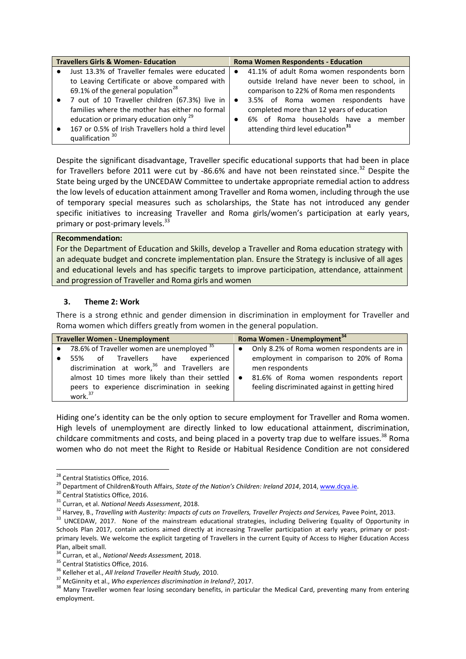| <b>Travellers Girls &amp; Women-Education</b> |                                                    | <b>Roma Women Respondents - Education</b> |                                               |  |
|-----------------------------------------------|----------------------------------------------------|-------------------------------------------|-----------------------------------------------|--|
|                                               | Just 13.3% of Traveller females were educated      | $\bullet$                                 | 41.1% of adult Roma women respondents born    |  |
|                                               | to Leaving Certificate or above compared with      |                                           | outside Ireland have never been to school, in |  |
|                                               | 69.1% of the general population <sup>28</sup>      |                                           | comparison to 22% of Roma men respondents     |  |
|                                               | • 7 out of 10 Traveller children (67.3%) live in   |                                           | 3.5% of Roma women respondents have           |  |
|                                               | families where the mother has either no formal     |                                           | completed more than 12 years of education     |  |
|                                               | education or primary education only <sup>29</sup>  |                                           | 6% of Roma households have a member           |  |
|                                               | 167 or 0.5% of Irish Travellers hold a third level |                                           | attending third level education <sup>31</sup> |  |
|                                               | qualification 30                                   |                                           |                                               |  |

Despite the significant disadvantage, Traveller specific educational supports that had been in place for Travellers before 2011 were cut by -86.6% and have not been reinstated since.<sup>32</sup> Despite the State being urged by the UNCEDAW Committee to undertake appropriate remedial action to address the low levels of education attainment among Traveller and Roma women, including through the use of temporary special measures such as scholarships, the State has not introduced any gender specific initiatives to increasing Traveller and Roma girls/women's participation at early years, primary or post-primary levels.<sup>33</sup>

### **Recommendation:**

For the Department of Education and Skills, develop a Traveller and Roma education strategy with an adequate budget and concrete implementation plan. Ensure the Strategy is inclusive of all ages and educational levels and has specific targets to improve participation, attendance, attainment and progression of Traveller and Roma girls and women

## **3. Theme 2: Work**

There is a strong ethnic and gender dimension in discrimination in employment for Traveller and Roma women which differs greatly from women in the general population.

| <b>Traveller Women - Unemployment</b> |                                                          |  | Roma Women - Unemployment <sup>34</sup>        |  |
|---------------------------------------|----------------------------------------------------------|--|------------------------------------------------|--|
|                                       | • 78.6% of Traveller women are unemployed $35$           |  | Only 8.2% of Roma women respondents are in     |  |
|                                       | 55% of Travellers have<br>experienced                    |  | employment in comparison to 20% of Roma        |  |
|                                       | discrimination at work, <sup>36</sup> and Travellers are |  | men respondents                                |  |
|                                       | almost 10 times more likely than their settled           |  | 81.6% of Roma women respondents report         |  |
|                                       | peers to experience discrimination in seeking            |  | feeling discriminated against in getting hired |  |
|                                       | work. <sup>37</sup>                                      |  |                                                |  |

Hiding one's identity can be the only option to secure employment for Traveller and Roma women. High levels of unemployment are directly linked to low educational attainment, discrimination, childcare commitments and costs, and being placed in a poverty trap due to welfare issues.<sup>38</sup> Roma women who do not meet the Right to Reside or Habitual Residence Condition are not considered

**.** 

<sup>&</sup>lt;sup>28</sup> Central Statistics Office, 2016.

<sup>&</sup>lt;sup>29</sup> Department of Children&Youth Affairs, *State of the Nation's Children: Ireland 2014*, 2014, www.dcya.ie.

<sup>&</sup>lt;sup>30</sup> Central Statistics Office, 2016.

<sup>31</sup> Curran, et al. *National Needs Assessment*, 2018.

<sup>32</sup> Harvey, B., *Travelling with Austerity: Impacts of cuts on Travellers, Traveller Projects and Services,* Pavee Point, 2013.

<sup>&</sup>lt;sup>33</sup> UNCEDAW, 2017. None of the mainstream educational strategies, including Delivering Equality of Opportunity in Schools Plan 2017, contain actions aimed directly at increasing Traveller participation at early years, primary or postprimary levels. We welcome the explicit targeting of Travellers in the current Equity of Access to Higher Education Access Plan, albeit small.

<sup>34</sup> Curran, et al., *National Needs Assessment,* 2018.

<sup>&</sup>lt;sup>35</sup> Central Statistics Office, 2016.

<sup>36</sup> Kelleher et al., *All Ireland Traveller Health Study,* 2010.

<sup>37</sup> McGinnity et al., *Who experiences discrimination in Ireland?*, 2017.

<sup>&</sup>lt;sup>38</sup> Many Traveller women fear losing secondary benefits, in particular the Medical Card, preventing many from entering employment.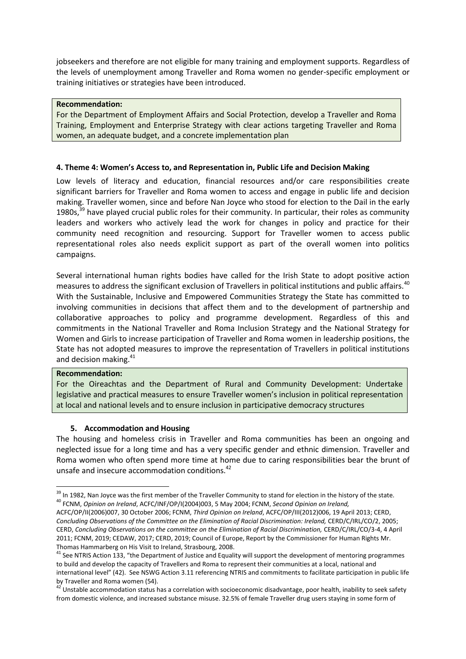jobseekers and therefore are not eligible for many training and employment supports. Regardless of the levels of unemployment among Traveller and Roma women no gender-specific employment or training initiatives or strategies have been introduced.

#### **Recommendation:**

For the Department of Employment Affairs and Social Protection, develop a Traveller and Roma Training, Employment and Enterprise Strategy with clear actions targeting Traveller and Roma women, an adequate budget, and a concrete implementation plan

### **4. Theme 4: Women's Access to, and Representation in, Public Life and Decision Making**

Low levels of literacy and education, financial resources and/or care responsibilities create significant barriers for Traveller and Roma women to access and engage in public life and decision making. Traveller women, since and before Nan Joyce who stood for election to the Dail in the early 1980s, $39$  have played crucial public roles for their community. In particular, their roles as community leaders and workers who actively lead the work for changes in policy and practice for their community need recognition and resourcing. Support for Traveller women to access public representational roles also needs explicit support as part of the overall women into politics campaigns.

Several international human rights bodies have called for the Irish State to adopt positive action measures to address the significant exclusion of Travellers in political institutions and public affairs.<sup>40</sup> With the Sustainable, Inclusive and Empowered Communities Strategy the State has committed to involving communities in decisions that affect them and to the development of partnership and collaborative approaches to policy and programme development. Regardless of this and commitments in the National Traveller and Roma Inclusion Strategy and the National Strategy for Women and Girls to increase participation of Traveller and Roma women in leadership positions, the State has not adopted measures to improve the representation of Travellers in political institutions and decision making.<sup>41</sup>

#### **Recommendation:**

1

For the Oireachtas and the Department of Rural and Community Development: Undertake legislative and practical measures to ensure Traveller women's inclusion in political representation at local and national levels and to ensure inclusion in participative democracy structures

#### **5. Accommodation and Housing**

The housing and homeless crisis in Traveller and Roma communities has been an ongoing and neglected issue for a long time and has a very specific gender and ethnic dimension. Traveller and Roma women who often spend more time at home due to caring responsibilities bear the brunt of unsafe and insecure accommodation conditions.<sup>42</sup>

<sup>&</sup>lt;sup>39</sup> In 1982, Nan Joyce was the first member of the Traveller Community to stand for election in the history of the state. <sup>40</sup> FCNM, *Opinion on Ireland*, ACFC/INF/OP/I(2004)003, 5 May 2004; FCNM, *Second Opinion on Ireland,*

ACFC/OP/II(2006)007, 30 October 2006; FCNM, *Third Opinion on Ireland*, ACFC/OP/III(2012)006, 19 April 2013; CERD, *Concluding Observations of the Committee on the Elimination of Racial Discrimination: Ireland,* CERD/C/IRL/CO/2, 2005; CERD, *Concluding Observations on the committee on the Elimination of Racial Discrimination,* CERD/C/IRL/CO/3-4, 4 April 2011; FCNM, 2019; CEDAW, 2017; CERD, 2019; Council of Europe, Report by the Commissioner for Human Rights Mr. Thomas Hammarberg on His Visit to Ireland, Strasbourg, 2008.

<sup>&</sup>lt;sup>41</sup> See NTRIS Action 133, "the Department of Justice and Equality will support the development of mentoring programmes to build and develop the capacity of Travellers and Roma to represent their communities at a local, national and international level" (42). See NSWG Action 3.11 referencing NTRIS and commitments to facilitate participation in public life by Traveller and Roma women (54).

 $42$  Unstable accommodation status has a correlation with socioeconomic disadvantage, poor health, inability to seek safety from domestic violence, and increased substance misuse. 32.5% of female Traveller drug users staying in some form of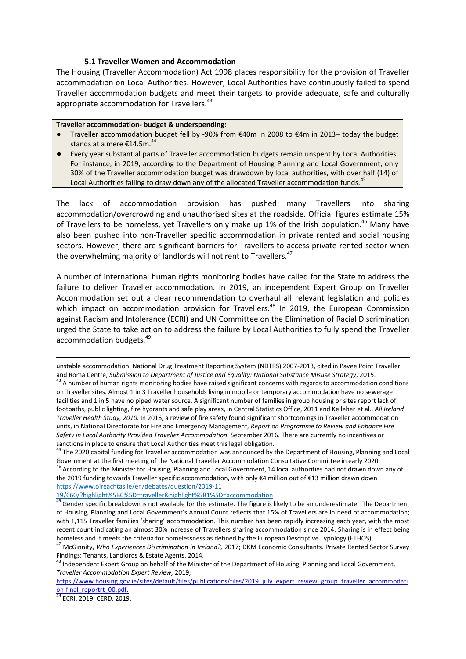#### **5.1 Traveller Women and Accommodation**

The Housing (Traveller Accommodation) Act 1998 places responsibility for the provision of Traveller accommodation on Local Authorities. However, Local Authorities have continuously failed to spend Traveller accommodation budgets and meet their targets to provide adequate, safe and culturally appropriate accommodation for Travellers.<sup>43</sup>

#### **Traveller accommodation- budget & underspending:**

- Traveller accommodation budget fell by -90% from €40m in 2008 to €4m in 2013– today the budget stands at a mere €14.5m.<sup>44</sup>
- Every year substantial parts of Traveller accommodation budgets remain unspent by Local Authorities. For instance, in 2019, according to the Department of Housing Planning and Local Government, only 30% of the Traveller accommodation budget was drawdown by local authorities, with over half (14) of Local Authorities failing to draw down any of the allocated Traveller accommodation funds.<sup>45</sup>

The lack of accommodation provision has pushed many Travellers into sharing accommodation/overcrowding and unauthorised sites at the roadside. Official figures estimate 15% of Travellers to be homeless, yet Travellers only make up 1% of the Irish population.<sup>46</sup> Many have also been pushed into non-Traveller specific accommodation in private rented and social housing sectors. However, there are significant barriers for Travellers to access private rented sector when the overwhelming majority of landlords will not rent to Travellers.<sup>47</sup>

A number of international human rights monitoring bodies have called for the State to address the failure to deliver Traveller accommodation. In 2019, an independent Expert Group on Traveller Accommodation set out a clear recommendation to overhaul all relevant legislation and policies which impact on accommodation provision for Travellers.<sup>48</sup> In 2019, the European Commission against Racism and Intolerance (ECRI) and UN Committee on the Elimination of Racial Discrimination urged the State to take action to address the failure by Local Authorities to fully spend the Traveller accommodation budgets.<sup>49</sup>

[https://www.housing.gov.ie/sites/default/files/publications/files/2019\\_july\\_expert\\_review\\_group\\_traveller\\_accommodati](https://www.housing.gov.ie/sites/default/files/publications/files/2019_july_expert_review_group_traveller_accommodation-final_reportrt_00.pdf) [on-final\\_reportrt\\_00.pdf.](https://www.housing.gov.ie/sites/default/files/publications/files/2019_july_expert_review_group_traveller_accommodation-final_reportrt_00.pdf)

<sup>49</sup> ECRI, 2019; CERD, 2019.

 $\overline{\phantom{a}}$ 

unstable accommodation. National Drug Treatment Reporting System (NDTRS) 2007-2013, cited in Pavee Point Traveller and Roma Centre, *Submission to Department of Justice and Equality: National Substance Misuse Strategy*, 2015. <sup>43</sup> A number of human rights monitoring bodies have raised significant concerns with regards to accommodation conditions on Traveller sites. Almost 1 in 3 Traveller households living in mobile or temporary accommodation have no sewerage facilities and 1 in 5 have no piped water source. A significant number of families in group housing or sites report lack of footpaths, public lighting, fire hydrants and safe play areas, in Central Statistics Office, 2011 and Kelleher et al., *All Ireland Traveller Health Study, 2010.* In 2016, a review of fire safety found significant shortcomings in Traveller accommodation units, in National Directorate for Fire and Emergency Management, *Report on Programme to Review and Enhance Fire Safety in Local Authority Provided Traveller Accommodation*, September 2016. There are currently no incentives or sanctions in place to ensure that Local Authorities meet this legal obligation.

<sup>44</sup> The 2020 capital funding for Traveller accommodation was announced by the Department of Housing, Planning and Local Government at the first meeting of the National Traveller Accommodation Consultative Committee in early 2020.

<sup>&</sup>lt;sup>45</sup> According to the Minister for Housing, Planning and Local Government, 14 local authorities had not drawn down any of the 2019 funding towards Traveller specific accommodation, with only €4 million out of €13 million drawn down <https://www.oireachtas.ie/en/debates/question/2019-11>

[<sup>19/660/?</sup>highlight%5B0%5D=traveller&highlight%5B1%5D=accommodation](https://www.oireachtas.ie/en/debates/question/2019-11)

<sup>46</sup> Gender specific breakdown is not available for this estimate. The figure is likely to be an underestimate. The Department of Housing, Planning and Local Government's Annual Count reflects that 15% of Travellers are in need of accommodation; with 1,115 Traveller families 'sharing' accommodation. This number has been rapidly increasing each year, with the most recent count indicating an almost 30% increase of Travellers sharing accommodation since 2014. Sharing is in effect being homeless and it meets the criteria for homelessness as defined by the European Descriptive Typology (ETHOS).

<sup>47</sup> McGinnity, *Who Experiences Discrimination in Ireland?,* 2017; DKM Economic Consultants. Private Rented Sector Survey Findings: Tenants, Landlords & Estate Agents. 2014.

<sup>48</sup> Independent Expert Group on behalf of the Minister of the Department of Housing, Planning and Local Government, *Traveller Accommodation Expert Review,* 2019,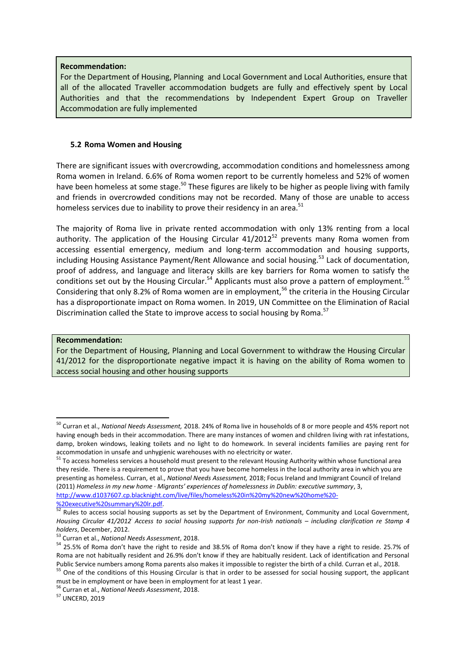#### **Recommendation:**

For the Department of Housing, Planning and Local Government and Local Authorities, ensure that all of the allocated Traveller accommodation budgets are fully and effectively spent by Local Authorities and that the recommendations by Independent Expert Group on Traveller Accommodation are fully implemented

### **5.2 Roma Women and Housing**

There are significant issues with overcrowding, accommodation conditions and homelessness among Roma women in Ireland. 6.6% of Roma women report to be currently homeless and 52% of women have been homeless at some stage.<sup>50</sup> These figures are likely to be higher as people living with family and friends in overcrowded conditions may not be recorded. Many of those are unable to access homeless services due to inability to prove their residency in an area.<sup>51</sup>

The majority of Roma live in private rented accommodation with only 13% renting from a local authority. The application of the Housing Circular  $41/2012^{52}$  prevents many Roma women from accessing essential emergency, medium and long-term accommodation and housing supports, including Housing Assistance Payment/Rent Allowance and social housing.<sup>53</sup> Lack of documentation, proof of address, and language and literacy skills are key barriers for Roma women to satisfy the conditions set out by the Housing Circular.<sup>54</sup> Applicants must also prove a pattern of employment.<sup>55</sup> Considering that only 8.2% of Roma women are in employment,<sup>56</sup> the criteria in the Housing Circular has a disproportionate impact on Roma women. In 2019, UN Committee on the Elimination of Racial Discrimination called the State to improve access to social housing by Roma.<sup>57</sup>

#### **Recommendation:**

**.** 

For the Department of Housing, Planning and Local Government to withdraw the Housing Circular 41/2012 for the disproportionate negative impact it is having on the ability of Roma women to access social housing and other housing supports

<sup>50</sup> Curran et al., *National Needs Assessment,* 2018. 24% of Roma live in households of 8 or more people and 45% report not having enough beds in their accommodation. There are many instances of women and children living with rat infestations, damp, broken windows, leaking toilets and no light to do homework. In several incidents families are paying rent for accommodation in unsafe and unhygienic warehouses with no electricity or water.

<sup>&</sup>lt;sup>51</sup> To access homeless services a household must present to the relevant Housing Authority within whose functional area they reside. There is a requirement to prove that you have become homeless in the local authority area in which you are presenting as homeless. Curran, et al., *National Needs Assessment,* 2018; Focus Ireland and Immigrant Council of Ireland (2011) *Homeless in my new home · Migrants' experiences of homelessness in Dublin: executive summary*, 3, [http://www.d1037607.cp.blacknight.com/live/files/homeless%20in%20my%20new%20home%20-](http://www.d1037607.cp.blacknight.com/live/files/homeless%20in%20my%20new%20home%20-%20executive%20summary%20lr.pdf) [%20executive%20summary%20lr.pdf.](http://www.d1037607.cp.blacknight.com/live/files/homeless%20in%20my%20new%20home%20-%20executive%20summary%20lr.pdf) 

<sup>52</sup> Rules to access social housing supports as set by the Department of Environment, Community and Local Government*, Housing Circular 41/2012: Access to social housing supports for non-Irish nationals – including clarification re Stamp 4 holders*, December, 2012.

<sup>53</sup> Curran et al., *National Needs Assessment*, 2018.

<sup>54</sup> 25.5% of Roma don't have the right to reside and 38.5% of Roma don't know if they have a right to reside. 25.7% of Roma are not habitually resident and 26.9% don't know if they are habitually resident. Lack of identification and Personal Public Service numbers among Roma parents also makes it impossible to register the birth of a child. Curran et al.*,* 2018.

<sup>&</sup>lt;sup>55</sup> One of the conditions of this Housing Circular is that in order to be assessed for social housing support, the applicant must be in employment or have been in employment for at least 1 year.

<sup>56</sup> Curran et al., *National Needs Assessment*, 2018.

<sup>57</sup> UNCERD, 2019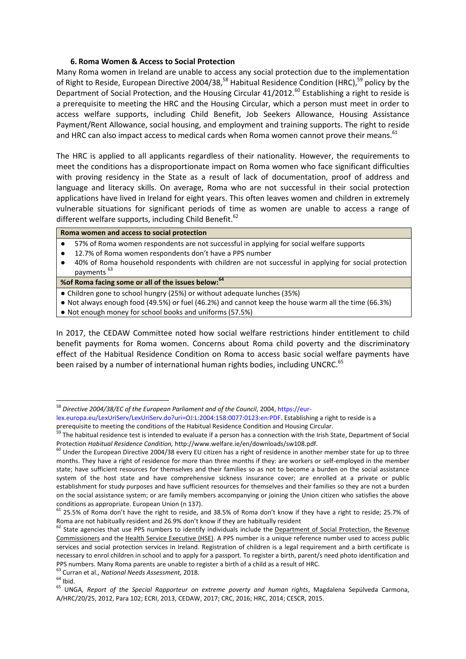### **6. Roma Women & Access to Social Protection**

Many Roma women in Ireland are unable to access any social protection due to the implementation of Right to Reside, European Directive 2004/38,<sup>58</sup> Habitual Residence Condition (HRC),<sup>59</sup> policy by the Department of Social Protection, and the Housing Circular  $41/2012$ .<sup>60</sup> Establishing a right to reside is a prerequisite to meeting the HRC and the Housing Circular, which a person must meet in order to access welfare supports, including Child Benefit, Job Seekers Allowance, Housing Assistance Payment/Rent Allowance, social housing, and employment and training supports. The right to reside and HRC can also impact access to medical cards when Roma women cannot prove their means.<sup>61</sup>

The HRC is applied to all applicants regardless of their nationality. However, the requirements to meet the conditions has a disproportionate impact on Roma women who face significant difficulties with proving residency in the State as a result of lack of documentation, proof of address and language and literacy skills. On average, Roma who are not successful in their social protection applications have lived in Ireland for eight years. This often leaves women and children in extremely vulnerable situations for significant periods of time as women are unable to access a range of different welfare supports, including Child Benefit.<sup>62</sup>

- 57% of Roma women respondents are not successful in applying for social welfare supports
- 12.7% of Roma women respondents don't have a PPS number
- 40% of Roma household respondents with children are not successful in applying for social protection payments<sup>63</sup>

#### **%of Roma facing some or all of the issues below:<sup>64</sup>**

- Children gone to school hungry (25%) or without adequate lunches (35%)
- Not always enough food (49.5%) or fuel (46.2%) and cannot keep the house warm all the time (66.3%)
- Not enough money for school books and uniforms (57.5%)

In 2017, the CEDAW Committee noted how social welfare restrictions hinder entitlement to child benefit payments for Roma women. Concerns about Roma child poverty and the discriminatory effect of the Habitual Residence Condition on Roma to access basic social welfare payments have been raised by a number of international human rights bodies, including UNCRC.<sup>65</sup>

1

<sup>&</sup>lt;sup>58</sup> Directive 2004/38/EC of the European Parliament and of the Council, 2004, https://eurlex.europa.eu/LexUriServ/LexUriServ.do?uri=OJ:L:2004:158:0077:0123:en:PDF. Establishing a right to reside is a

prerequisite to meeting the conditions of the Habitual Residence Condition and Housing Circular.

<sup>&</sup>lt;sup>59</sup> The habitual residence test is intended to evaluate if a person has a connection with the Irish State, Department of Social Protection *Habitual Residence Condition,* http://www.welfare.ie/en/downloads/sw108.pdf.

 $60$  Under the European Directive 2004/38 every EU citizen has a right of residence in another member state for up to three months. They have a right of residence for more than three months if they: are workers or self-employed in the member state; have sufficient resources for themselves and their families so as not to become a burden on the social assistance system of the host state and have comprehensive sickness insurance cover; are enrolled at a private or public establishment for study purposes and have sufficient resources for themselves and their families so they are not a burden on the social assistance system; or are family members accompanying or joining the Union citizen who satisfies the above conditions as appropriate. European Union (n 137).

 $^{61}$  25.5% of Roma don't have the right to reside, and 38.5% of Roma don't know if they have a right to reside; 25.7% of Roma are not habitually resident and 26.9% don't know if they are habitually resident

 $62$  State agencies that use PPS numbers to identify individuals include the [Department of Social Protection,](http://www.welfare.ie/) the Revenue [Commissioners](http://www.revenue.ie/) and the [Health Service Executive \(HSE\).](http://www.hse.ie/) A PPS number is a unique reference number used to access public services and social protection services in Ireland. Registration of children is a legal requirement and a birth certificate is necessary to enrol children in school and to apply for a passport. To register a birth, parent/s need photo identification and PPS numbers. Many Roma parents are unable to register a birth of a child as a result of HRC.

<sup>63</sup> Curran et al., *National Needs Assessment,* 2018.

 $64$  Ibid.

<sup>65</sup> UNGA, *Report of the Special Rapporteur on extreme poverty and human rights*, Magdalena Sepúlveda Carmona, A/HRC/20/25, 2012, Para 102; ECRI, 2013, CEDAW, 2017; CRC, 2016; HRC, 2014; CESCR, 2015.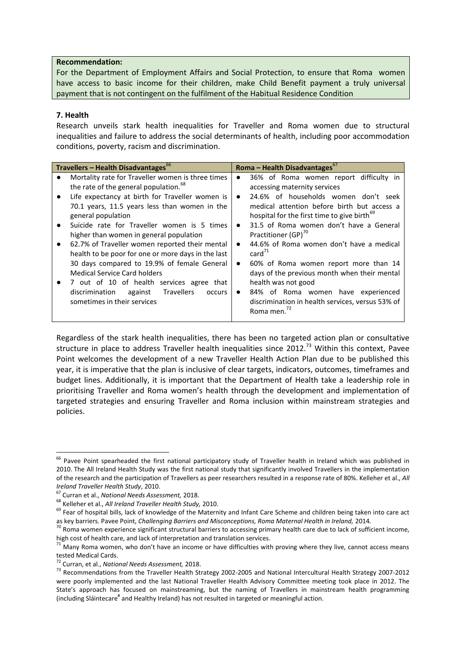#### **Recommendation:**

For the Department of Employment Affairs and Social Protection, to ensure that Roma women have access to basic income for their children, make Child Benefit payment a truly universal payment that is not contingent on the fulfilment of the Habitual Residence Condition

## **7. Health**

Research unveils stark health inequalities for Traveller and Roma women due to structural inequalities and failure to address the social determinants of health, including poor accommodation conditions, poverty, racism and discrimination.

| <b>Travellers - Health Disadvantages</b> <sup>66</sup> |                                                                 | Roma – Health Disadvantages $^{67}$                     |  |  |
|--------------------------------------------------------|-----------------------------------------------------------------|---------------------------------------------------------|--|--|
|                                                        | Mortality rate for Traveller women is three times               | 36% of Roma women report difficulty in<br>$\bullet$     |  |  |
|                                                        | the rate of the general population. <sup>68</sup>               | accessing maternity services                            |  |  |
|                                                        | Life expectancy at birth for Traveller women is                 | 24.6% of households women don't seek<br>$\bullet$       |  |  |
|                                                        | 70.1 years, 11.5 years less than women in the                   | medical attention before birth but access a             |  |  |
|                                                        | general population                                              | hospital for the first time to give birth <sup>69</sup> |  |  |
|                                                        | Suicide rate for Traveller women is 5 times                     | 31.5 of Roma women don't have a General<br>$\bullet$    |  |  |
|                                                        | higher than women in general population                         | Practitioner (GP) <sup>70</sup>                         |  |  |
|                                                        | 62.7% of Traveller women reported their mental                  | 44.6% of Roma women don't have a medical<br>$\bullet$   |  |  |
|                                                        | health to be poor for one or more days in the last              | $card^{\prime 1}$                                       |  |  |
|                                                        | 30 days compared to 19.9% of female General                     | 60% of Roma women report more than 14<br>$\bullet$      |  |  |
|                                                        | Medical Service Card holders                                    | days of the previous month when their mental            |  |  |
|                                                        | 7 out of 10 of health services agree that                       | health was not good                                     |  |  |
|                                                        | <b>Travellers</b><br>discrimination<br>against<br><b>occurs</b> | 84% of Roma women have experienced<br>$\bullet$         |  |  |
|                                                        | sometimes in their services                                     | discrimination in health services, versus 53% of        |  |  |
|                                                        |                                                                 | Roma men.                                               |  |  |

Regardless of the stark health inequalities, there has been no targeted action plan or consultative structure in place to address Traveller health inequalities since 2012.<sup>73</sup> Within this context, Pavee Point welcomes the development of a new Traveller Health Action Plan due to be published this year, it is imperative that the plan is inclusive of clear targets, indicators, outcomes, timeframes and budget lines. Additionally, it is important that the Department of Health take a leadership role in prioritising Traveller and Roma women's health through the development and implementation of targeted strategies and ensuring Traveller and Roma inclusion within mainstream strategies and policies.

1

 $^{66}$  Pavee Point spearheaded the first national participatory study of Traveller health in Ireland which was published in 2010. The All Ireland Health Study was the first national study that significantly involved Travellers in the implementation of the research and the participation of Travellers as peer researchers resulted in a response rate of 80%. Kelleher et al., *All Ireland Traveller Health Study*, 2010.

<sup>67</sup> Curran et al., *National Needs Assessment,* 2018.

<sup>68</sup> Kelleher et al., *All Ireland Traveller Health Study,* 2010.

<sup>&</sup>lt;sup>69</sup> Fear of hospital bills, lack of knowledge of the Maternity and Infant Care Scheme and children being taken into care act as key barriers. Pavee Point, *Challenging Barriers and Misconceptions, Roma Maternal Health in Ireland,* 2014*.* 

 $^{70}$  Roma women experience significant structural barriers to accessing primary health care due to lack of sufficient income, high cost of health care, and lack of interpretation and translation services.

 $71$  Many Roma women, who don't have an income or have difficulties with proving where they live, cannot access means tested Medical Cards.

<sup>72</sup> Curran, et al., *National Needs Assessment,* 2018.

<sup>&</sup>lt;sup>73</sup> Recommendations from the Traveller Health Strategy 2002-2005 and National Intercultural Health Strategy 2007-2012 were poorly implemented and the last National Traveller Health Advisory Committee meeting took place in 2012. The State's approach has focused on mainstreaming, but the naming of Travellers in mainstream health programming (including Sláintecare<sup>#</sup> and Healthy Ireland) has not resulted in targeted or meaningful action.